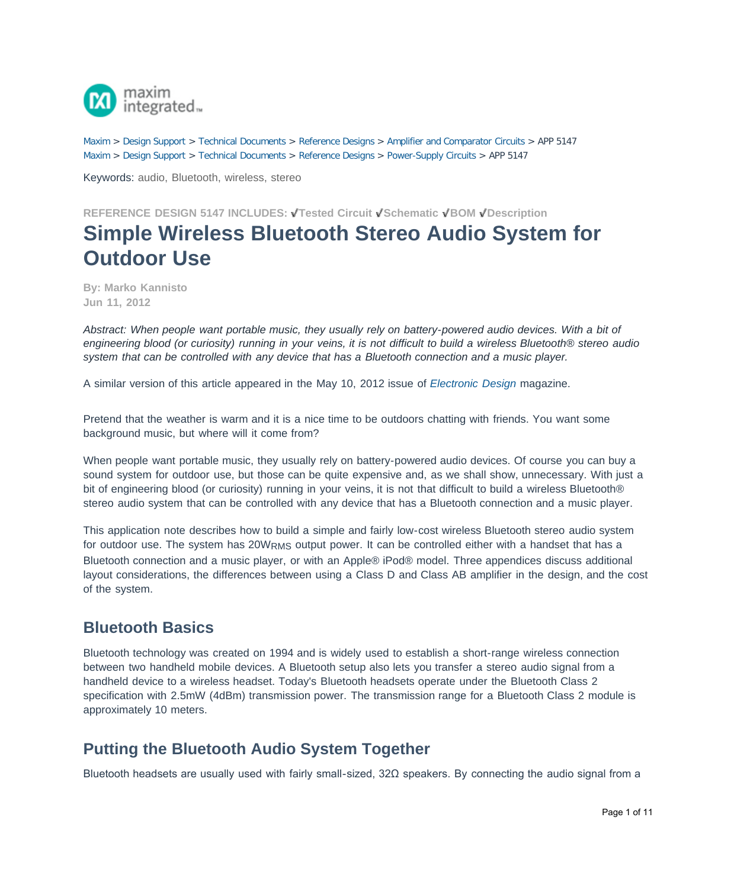

[Maxim](http://www.maximintegrated.com/) > [Design Support](http://www.maximintegrated.com/design/) > [Technical Documents](http://www.maximintegrated.com/design/techdocs/) > [Reference Designs](http://www.maximintegrated.com/design/techdocs/reference-designs/index.mvp) > [Amplifier and Comparator Circuits](http://www.maximintegrated.com/design/techdocs/reference-designs/index.mvp/id/3/c/Amplifier%20and%20Comparator%20Circuits#c3) > APP 5147 [Maxim](http://www.maximintegrated.com/) > [Design Support](http://www.maximintegrated.com/design/) > [Technical Documents](http://www.maximintegrated.com/design/techdocs/) > [Reference Designs](http://www.maximintegrated.com/design/techdocs/reference-designs/index.mvp) > [Power-Supply Circuits](http://www.maximintegrated.com/design/techdocs/reference-designs/index.mvp/id/20/c/Power-Supply%20Circuits#c20) > APP 5147

Keywords: audio, Bluetooth, wireless, stereo

# **REFERENCE DESIGN 5147 INCLUDES: Tested Circuit Schematic BOM Description Simple Wireless Bluetooth Stereo Audio System for Outdoor Use**

**By: Marko Kannisto Jun 11, 2012**

*Abstract: When people want portable music, they usually rely on battery-powered audio devices. With a bit of engineering blood (or curiosity) running in your veins, it is not difficult to build a wireless Bluetooth® stereo audio system that can be controlled with any device that has a Bluetooth connection and a music player.*

A similar version of this article appeared in the May 10, 2012 issue of *[Electronic Design](https://www.electronicdesign.com/communications/build-simple-wireless-bluetooth-stereo-audio-system-outdoors)* magazine.

Pretend that the weather is warm and it is a nice time to be outdoors chatting with friends. You want some background music, but where will it come from?

When people want portable music, they usually rely on battery-powered audio devices. Of course you can buy a sound system for outdoor use, but those can be quite expensive and, as we shall show, unnecessary. With just a bit of engineering blood (or curiosity) running in your veins, it is not that difficult to build a wireless Bluetooth® stereo audio system that can be controlled with any device that has a Bluetooth connection and a music player.

This application note describes how to build a simple and fairly low-cost wireless Bluetooth stereo audio system for outdoor use. The system has 20W<sub>RMS</sub> output power. It can be controlled either with a handset that has a Bluetooth connection and a music player, or with an Apple® iPod® model. Three appendices discuss additional layout considerations, the differences between using a Class D and Class AB amplifier in the design, and the cost of the system.

## **Bluetooth Basics**

Bluetooth technology was created on 1994 and is widely used to establish a short-range wireless connection between two handheld mobile devices. A Bluetooth setup also lets you transfer a stereo audio signal from a handheld device to a wireless headset. Today's Bluetooth headsets operate under the Bluetooth Class 2 specification with 2.5mW (4dBm) transmission power. The transmission range for a Bluetooth Class 2 module is approximately 10 meters.

## **Putting the Bluetooth Audio System Together**

Bluetooth headsets are usually used with fairly small-sized, 32Ω speakers. By connecting the audio signal from a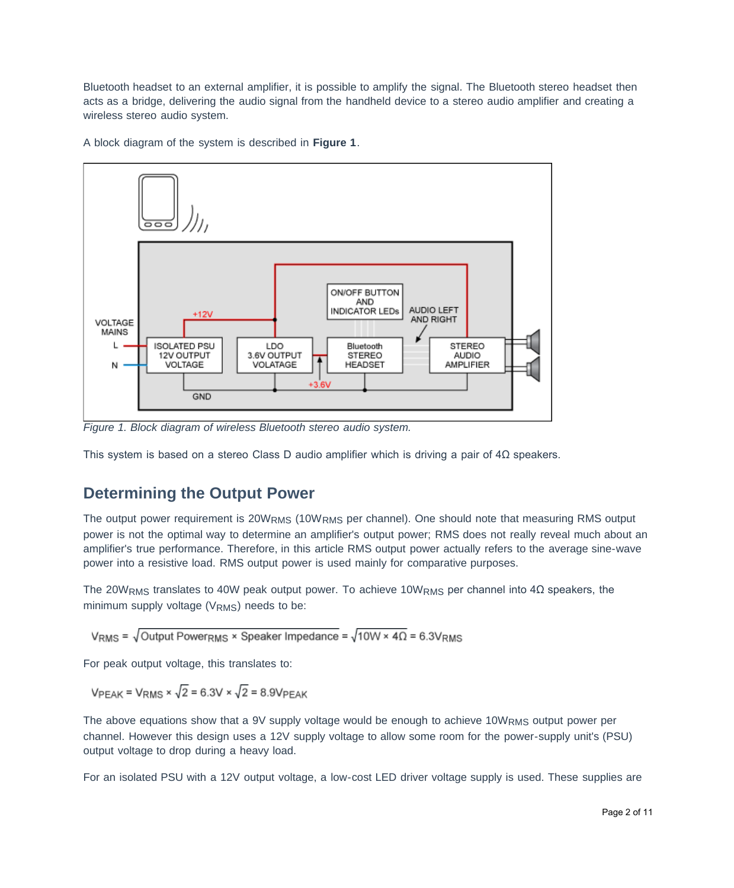Bluetooth headset to an external amplifier, it is possible to amplify the signal. The Bluetooth stereo headset then acts as a bridge, delivering the audio signal from the handheld device to a stereo audio amplifier and creating a wireless stereo audio system.

A block diagram of the system is described in **Figure 1**.



*Figure 1. Block diagram of wireless Bluetooth stereo audio system.*

This system is based on a stereo Class D audio amplifier which is driving a pair of  $4\Omega$  speakers.

## **Determining the Output Power**

The output power requirement is 20W<sub>RMS</sub> (10W<sub>RMS</sub> per channel). One should note that measuring RMS output power is not the optimal way to determine an amplifier's output power; RMS does not really reveal much about an amplifier's true performance. Therefore, in this article RMS output power actually refers to the average sine-wave power into a resistive load. RMS output power is used mainly for comparative purposes.

The 20W<sub>RMS</sub> translates to 40W peak output power. To achieve 10W<sub>RMS</sub> per channel into 4 $\Omega$  speakers, the minimum supply voltage (V<sub>RMS</sub>) needs to be:

VRMS =  $\sqrt{\text{Output} \text{ PowerRMS}} \times \text{ Speaker } \text{Impedance} = \sqrt{10W \times 4\Omega} = 6.3V_{RMS}$ 

For peak output voltage, this translates to:

 $VPEAK = VRMS \times \sqrt{2} = 6.3V \times \sqrt{2} = 8.9VPEAK$ 

The above equations show that a 9V supply voltage would be enough to achieve 10WRMS output power per channel. However this design uses a 12V supply voltage to allow some room for the power-supply unit's (PSU) output voltage to drop during a heavy load.

For an isolated PSU with a 12V output voltage, a low-cost LED driver voltage supply is used. These supplies are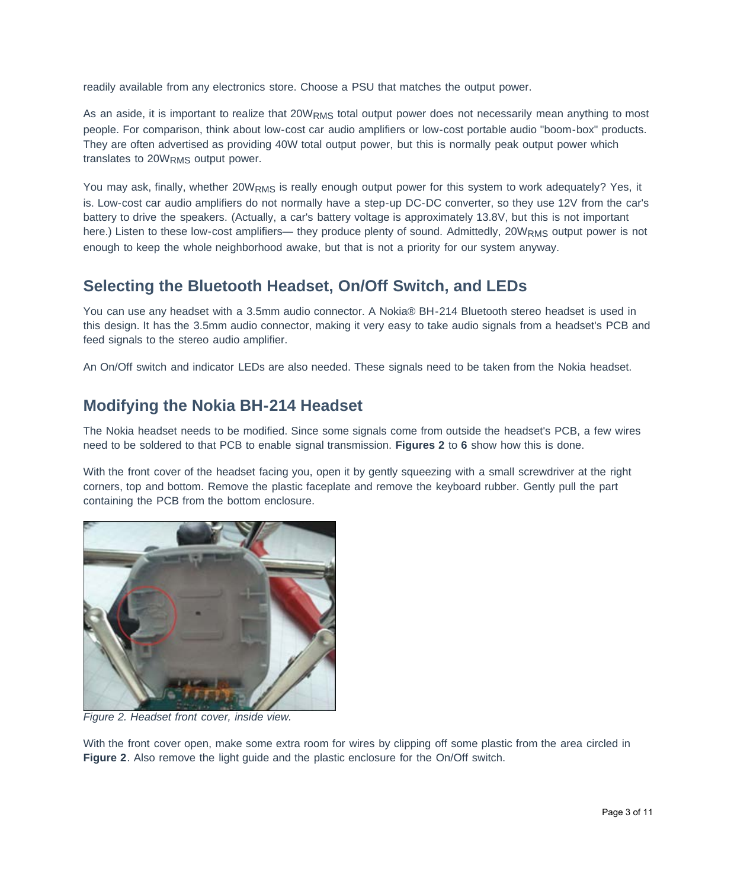readily available from any electronics store. Choose a PSU that matches the output power.

As an aside, it is important to realize that 20WRMS total output power does not necessarily mean anything to most people. For comparison, think about low-cost car audio amplifiers or low-cost portable audio "boom-box" products. They are often advertised as providing 40W total output power, but this is normally peak output power which translates to 20WRMS output power.

You may ask, finally, whether 20WRMS is really enough output power for this system to work adequately? Yes, it is. Low-cost car audio amplifiers do not normally have a step-up DC-DC converter, so they use 12V from the car's battery to drive the speakers. (Actually, a car's battery voltage is approximately 13.8V, but this is not important here.) Listen to these low-cost amplifiers— they produce plenty of sound. Admittedly, 20WRMS output power is not enough to keep the whole neighborhood awake, but that is not a priority for our system anyway.

## **Selecting the Bluetooth Headset, On/Off Switch, and LEDs**

You can use any headset with a 3.5mm audio connector. A Nokia® BH-214 Bluetooth stereo headset is used in this design. It has the 3.5mm audio connector, making it very easy to take audio signals from a headset's PCB and feed signals to the stereo audio amplifier.

An On/Off switch and indicator LEDs are also needed. These signals need to be taken from the Nokia headset.

## **Modifying the Nokia BH-214 Headset**

The Nokia headset needs to be modified. Since some signals come from outside the headset's PCB, a few wires need to be soldered to that PCB to enable signal transmission. **Figures 2** to **6** show how this is done.

With the front cover of the headset facing you, open it by gently squeezing with a small screwdriver at the right corners, top and bottom. Remove the plastic faceplate and remove the keyboard rubber. Gently pull the part containing the PCB from the bottom enclosure.



*Figure 2. Headset front cover, inside view.*

With the front cover open, make some extra room for wires by clipping off some plastic from the area circled in **Figure 2**. Also remove the light guide and the plastic enclosure for the On/Off switch.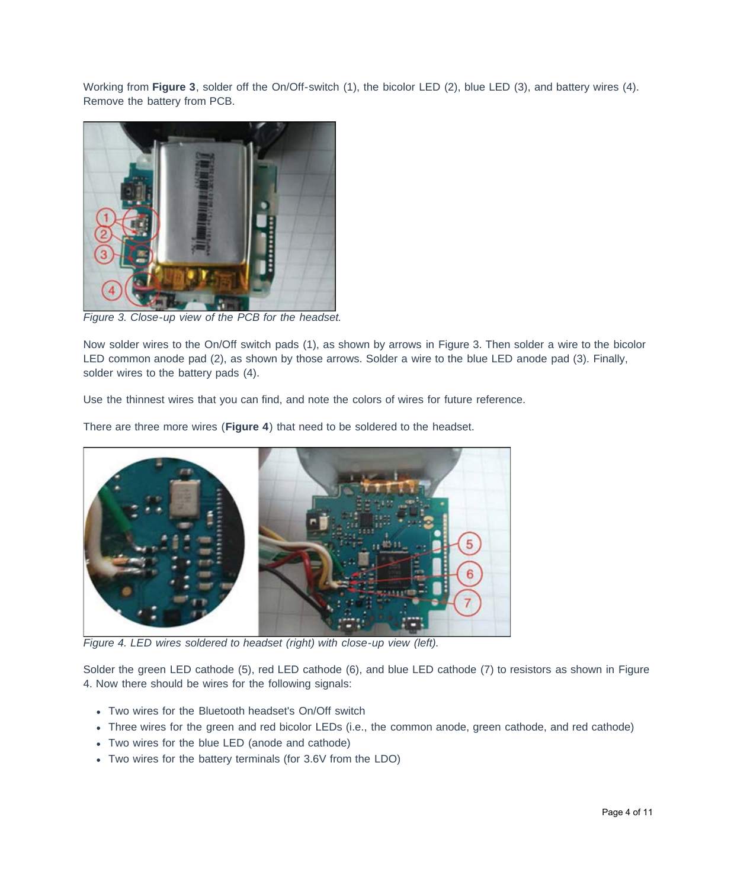Working from **Figure 3**, solder off the On/Off-switch (1), the bicolor LED (2), blue LED (3), and battery wires (4). Remove the battery from PCB.



*Figure 3. Close-up view of the PCB for the headset.*

Now solder wires to the On/Off switch pads (1), as shown by arrows in Figure 3. Then solder a wire to the bicolor LED common anode pad (2), as shown by those arrows. Solder a wire to the blue LED anode pad (3). Finally, solder wires to the battery pads (4).

Use the thinnest wires that you can find, and note the colors of wires for future reference.

There are three more wires (**Figure 4**) that need to be soldered to the headset.



*Figure 4. LED wires soldered to headset (right) with close-up view (left).*

Solder the green LED cathode (5), red LED cathode (6), and blue LED cathode (7) to resistors as shown in Figure 4. Now there should be wires for the following signals:

- Two wires for the Bluetooth headset's On/Off switch
- Three wires for the green and red bicolor LEDs (i.e., the common anode, green cathode, and red cathode)
- Two wires for the blue LED (anode and cathode)
- Two wires for the battery terminals (for 3.6V from the LDO)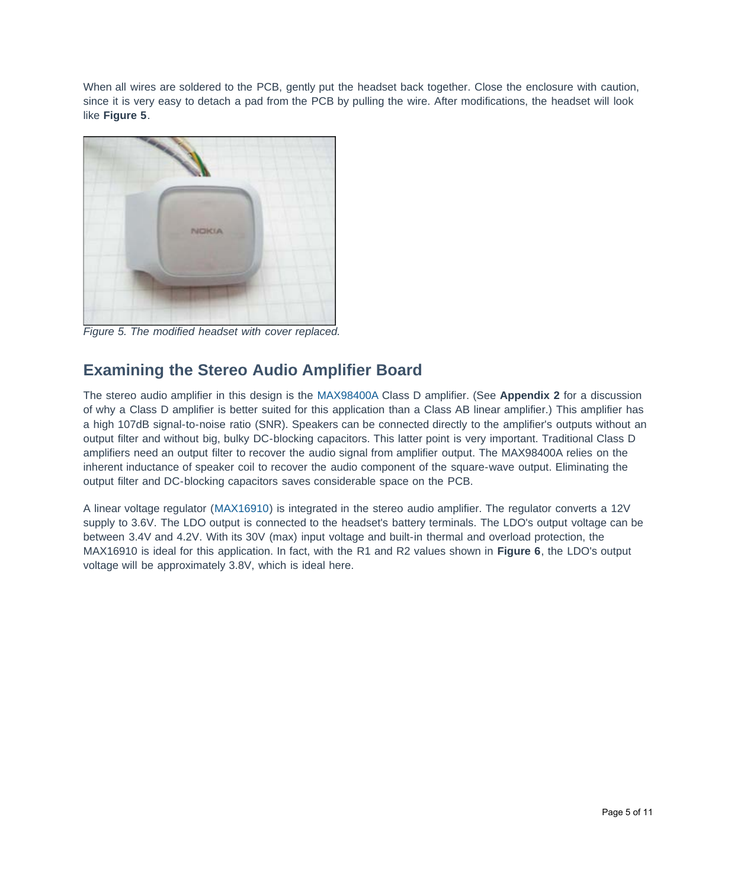When all wires are soldered to the PCB, gently put the headset back together. Close the enclosure with caution, since it is very easy to detach a pad from the PCB by pulling the wire. After modifications, the headset will look like **Figure 5**.



*Figure 5. The modified headset with cover replaced.*

# **Examining the Stereo Audio Amplifier Board**

The stereo audio amplifier in this design is the [MAX98400A](http://www.maximintegrated.com/MAX98400A) Class D amplifier. (See **Appendix 2** for a discussion of why a Class D amplifier is better suited for this application than a Class AB linear amplifier.) This amplifier has a high 107dB signal-to-noise ratio (SNR). Speakers can be connected directly to the amplifier's outputs without an output filter and without big, bulky DC-blocking capacitors. This latter point is very important. Traditional Class D amplifiers need an output filter to recover the audio signal from amplifier output. The MAX98400A relies on the inherent inductance of speaker coil to recover the audio component of the square-wave output. Eliminating the output filter and DC-blocking capacitors saves considerable space on the PCB.

A linear voltage regulator ([MAX16910](http://www.maximintegrated.com/MAX16910)) is integrated in the stereo audio amplifier. The regulator converts a 12V supply to 3.6V. The LDO output is connected to the headset's battery terminals. The LDO's output voltage can be between 3.4V and 4.2V. With its 30V (max) input voltage and built-in thermal and overload protection, the MAX16910 is ideal for this application. In fact, with the R1 and R2 values shown in **Figure 6**, the LDO's output voltage will be approximately 3.8V, which is ideal here.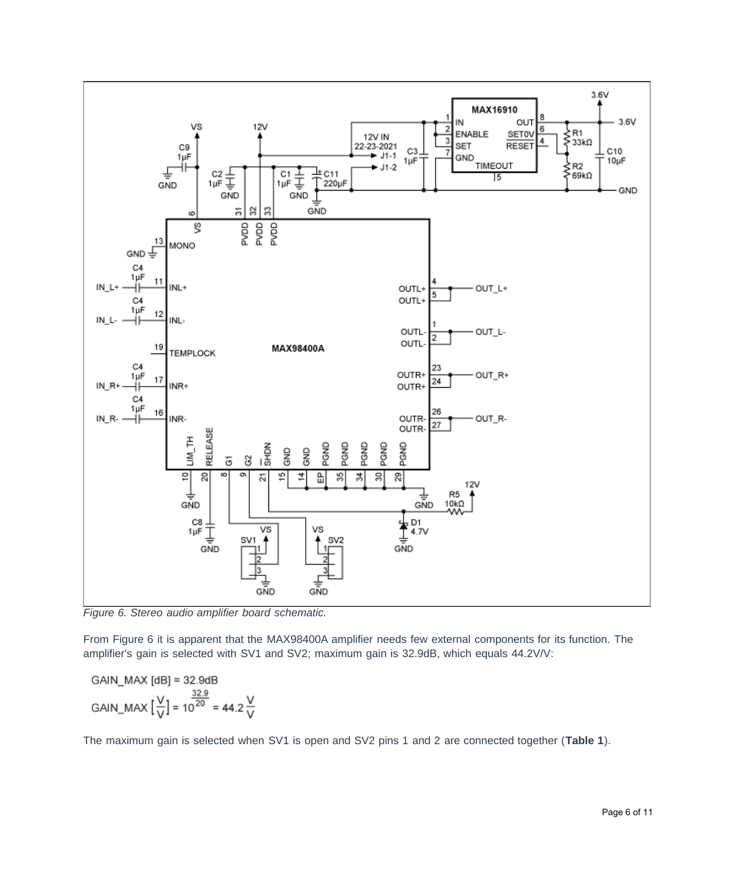

*Figure 6. Stereo audio amplifier board schematic.*

From Figure 6 it is apparent that the MAX98400A amplifier needs few external components for its function. The amplifier's gain is selected with SV1 and SV2; maximum gain is 32.9dB, which equals 44.2V/V:

$$
GAN\_MAX [dB] = 32.9dB
$$
  
GAN\_MAX  $\left[\frac{V}{V}\right] = 10^{20} = 44.2 \frac{V}{V}$ 

The maximum gain is selected when SV1 is open and SV2 pins 1 and 2 are connected together (**Table 1**).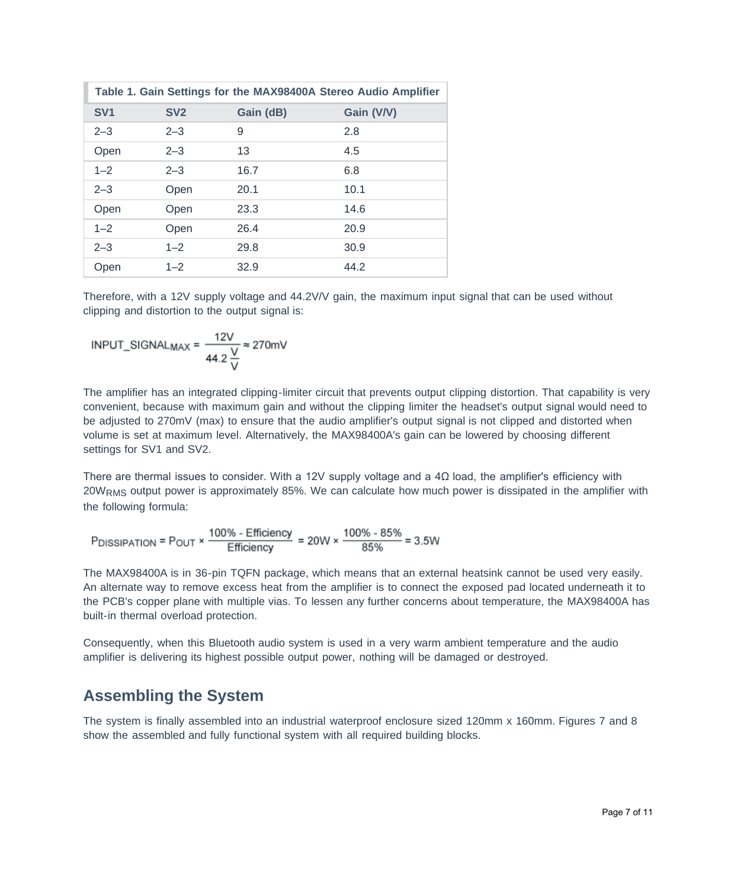| Table 1. Gain Settings for the MAX98400A Stereo Audio Amplifier |         |           |            |  |  |
|-----------------------------------------------------------------|---------|-----------|------------|--|--|
| SV <sub>1</sub>                                                 | SV2     | Gain (dB) | Gain (V/V) |  |  |
| $2 - 3$                                                         | $2 - 3$ | 9         | 2.8        |  |  |
| Open                                                            | $2 - 3$ | 13        | 4.5        |  |  |
| $1 - 2$                                                         | $2 - 3$ | 16.7      | 6.8        |  |  |
| $2 - 3$                                                         | Open    | 20.1      | 10.1       |  |  |
| Open                                                            | Open    | 23.3      | 14.6       |  |  |
| $1 - 2$                                                         | Open    | 26.4      | 20.9       |  |  |
| $2 - 3$                                                         | $1 - 2$ | 29.8      | 30.9       |  |  |
| Open                                                            | $1 - 2$ | 32.9      | 44.2       |  |  |

Therefore, with a 12V supply voltage and 44.2V/V gain, the maximum input signal that can be used without clipping and distortion to the output signal is:

$$
INPUT\_SIGNAL_{MAX} = \frac{12V}{44.2 \frac{V}{V}} \approx 270 \text{mV}
$$

The amplifier has an integrated clipping-limiter circuit that prevents output clipping distortion. That capability is very convenient, because with maximum gain and without the clipping limiter the headset's output signal would need to be adjusted to 270mV (max) to ensure that the audio amplifier's output signal is not clipped and distorted when volume is set at maximum level. Alternatively, the MAX98400A's gain can be lowered by choosing different settings for SV1 and SV2.

There are thermal issues to consider. With a 12V supply voltage and a 4Ω load, the amplifier's efficiency with 20WRMS output power is approximately 85%. We can calculate how much power is dissipated in the amplifier with the following formula:

$$
P_{DISSIPATION} = P_{OUT} \times \frac{100\% - Efficiency}{Efficiency} = 20W \times \frac{100\% - 85\%}{85\%} = 3.5W
$$

The MAX98400A is in 36-pin TQFN package, which means that an external heatsink cannot be used very easily. An alternate way to remove excess heat from the amplifier is to connect the exposed pad located underneath it to the PCB's copper plane with multiple vias. To lessen any further concerns about temperature, the MAX98400A has built-in thermal overload protection.

Consequently, when this Bluetooth audio system is used in a very warm ambient temperature and the audio amplifier is delivering its highest possible output power, nothing will be damaged or destroyed.

## **Assembling the System**

The system is finally assembled into an industrial waterproof enclosure sized 120mm x 160mm. Figures 7 and 8 show the assembled and fully functional system with all required building blocks.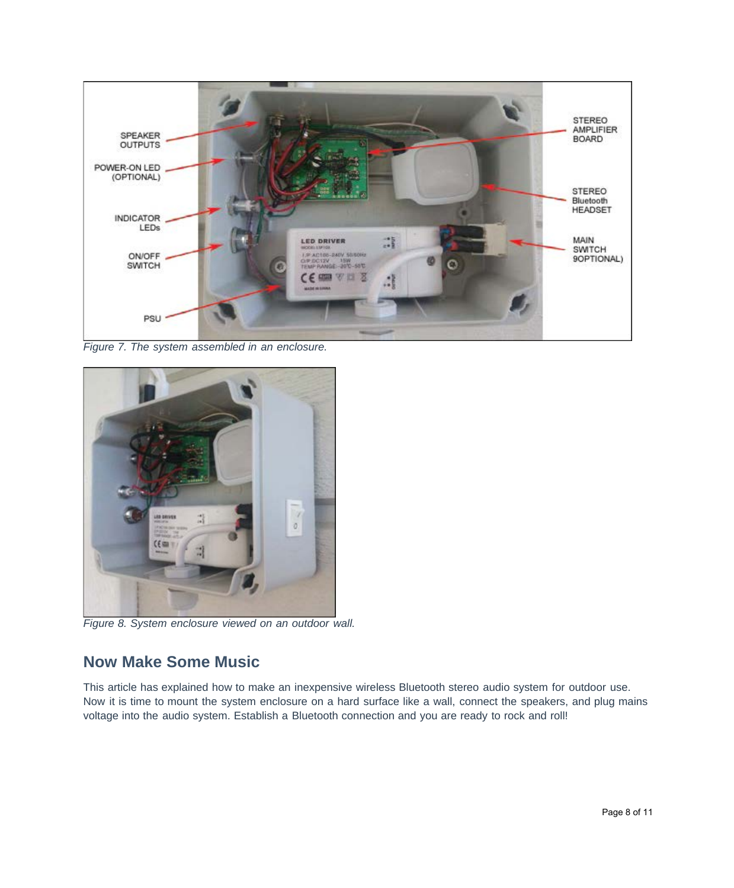

*Figure 7. The system assembled in an enclosure.*



*Figure 8. System enclosure viewed on an outdoor wall.*

# **Now Make Some Music**

This article has explained how to make an inexpensive wireless Bluetooth stereo audio system for outdoor use. Now it is time to mount the system enclosure on a hard surface like a wall, connect the speakers, and plug mains voltage into the audio system. Establish a Bluetooth connection and you are ready to rock and roll!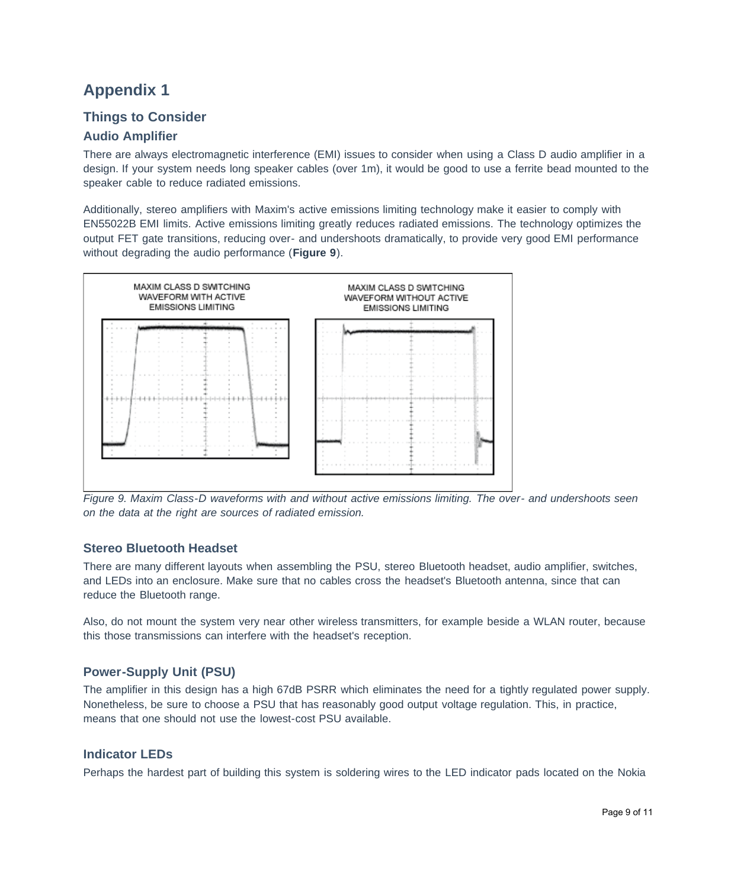# **Appendix 1**

## **Things to Consider**

### **Audio Amplifier**

There are always electromagnetic interference (EMI) issues to consider when using a Class D audio amplifier in a design. If your system needs long speaker cables (over 1m), it would be good to use a ferrite bead mounted to the speaker cable to reduce radiated emissions.

Additionally, stereo amplifiers with Maxim's active emissions limiting technology make it easier to comply with EN55022B EMI limits. Active emissions limiting greatly reduces radiated emissions. The technology optimizes the output FET gate transitions, reducing over- and undershoots dramatically, to provide very good EMI performance without degrading the audio performance (**Figure 9**).



*Figure 9. Maxim Class-D waveforms with and without active emissions limiting. The over- and undershoots seen on the data at the right are sources of radiated emission.*

### **Stereo Bluetooth Headset**

There are many different layouts when assembling the PSU, stereo Bluetooth headset, audio amplifier, switches, and LEDs into an enclosure. Make sure that no cables cross the headset's Bluetooth antenna, since that can reduce the Bluetooth range.

Also, do not mount the system very near other wireless transmitters, for example beside a WLAN router, because this those transmissions can interfere with the headset's reception.

### **Power-Supply Unit (PSU)**

The amplifier in this design has a high 67dB PSRR which eliminates the need for a tightly regulated power supply. Nonetheless, be sure to choose a PSU that has reasonably good output voltage regulation. This, in practice, means that one should not use the lowest-cost PSU available.

#### **Indicator LEDs**

Perhaps the hardest part of building this system is soldering wires to the LED indicator pads located on the Nokia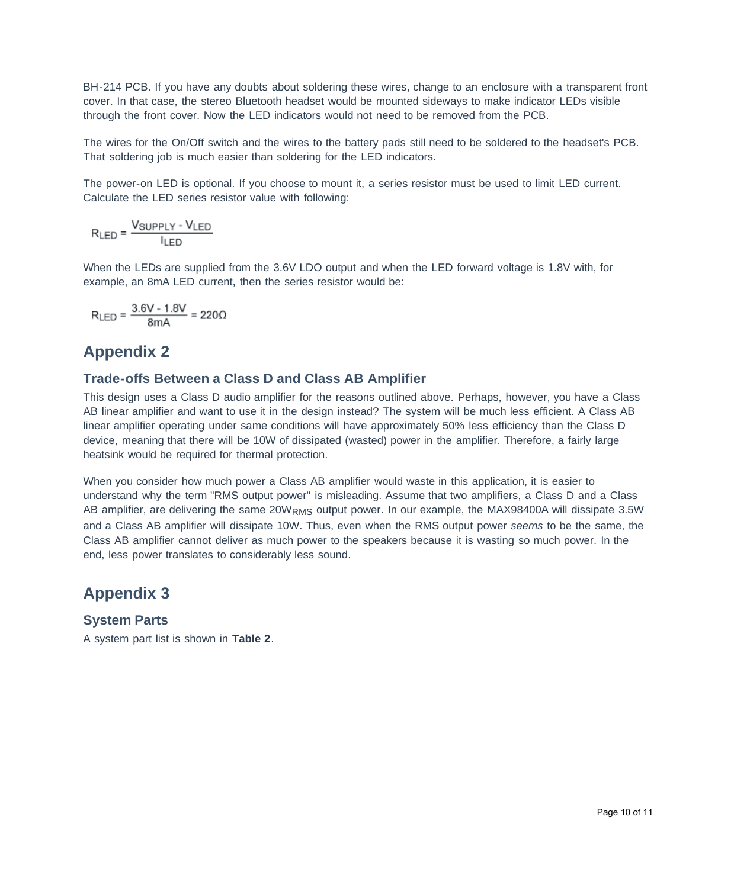BH-214 PCB. If you have any doubts about soldering these wires, change to an enclosure with a transparent front cover. In that case, the stereo Bluetooth headset would be mounted sideways to make indicator LEDs visible through the front cover. Now the LED indicators would not need to be removed from the PCB.

The wires for the On/Off switch and the wires to the battery pads still need to be soldered to the headset's PCB. That soldering job is much easier than soldering for the LED indicators.

The power-on LED is optional. If you choose to mount it, a series resistor must be used to limit LED current. Calculate the LED series resistor value with following:

 $R_{LED} = \frac{V_{SUPPLY} - V_{LED}}{I_{LED}}$ 

When the LEDs are supplied from the 3.6V LDO output and when the LED forward voltage is 1.8V with, for example, an 8mA LED current, then the series resistor would be:

$$
R_{LED} = \frac{3.6V - 1.8V}{8mA} = 220\Omega
$$

## **Appendix 2**

#### **Trade-offs Between a Class D and Class AB Amplifier**

This design uses a Class D audio amplifier for the reasons outlined above. Perhaps, however, you have a Class AB linear amplifier and want to use it in the design instead? The system will be much less efficient. A Class AB linear amplifier operating under same conditions will have approximately 50% less efficiency than the Class D device, meaning that there will be 10W of dissipated (wasted) power in the amplifier. Therefore, a fairly large heatsink would be required for thermal protection.

When you consider how much power a Class AB amplifier would waste in this application, it is easier to understand why the term "RMS output power" is misleading. Assume that two amplifiers, a Class D and a Class AB amplifier, are delivering the same 20WRMS output power. In our example, the MAX98400A will dissipate 3.5W and a Class AB amplifier will dissipate 10W. Thus, even when the RMS output power *seems* to be the same, the Class AB amplifier cannot deliver as much power to the speakers because it is wasting so much power. In the end, less power translates to considerably less sound.

## **Appendix 3**

## **System Parts**

A system part list is shown in **Table 2**.